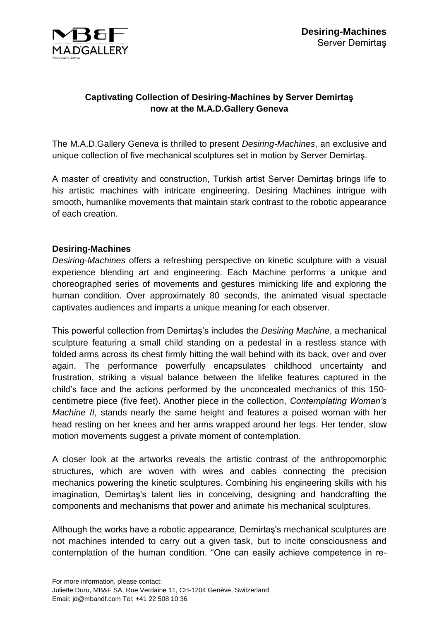

## **Captivating Collection of Desiring-Machines by Server Demirtaş now at the M.A.D.Gallery Geneva**

The M.A.D.Gallery Geneva is thrilled to present *Desiring-Machines*, an exclusive and unique collection of five mechanical sculptures set in motion by Server Demirtaş.

A master of creativity and construction, Turkish artist Server Demirtaş brings life to his artistic machines with intricate engineering. Desiring Machines intrigue with smooth, humanlike movements that maintain stark contrast to the robotic appearance of each creation.

## **Desiring-Machines**

*Desiring-Machines* offers a refreshing perspective on kinetic sculpture with a visual experience blending art and engineering. Each Machine performs a unique and choreographed series of movements and gestures mimicking life and exploring the human condition. Over approximately 80 seconds, the animated visual spectacle captivates audiences and imparts a unique meaning for each observer.

This powerful collection from Demirtaş's includes the *Desiring Machine*, a mechanical sculpture featuring a small child standing on a pedestal in a restless stance with folded arms across its chest firmly hitting the wall behind with its back, over and over again. The performance powerfully encapsulates childhood uncertainty and frustration, striking a visual balance between the lifelike features captured in the child's face and the actions performed by the unconcealed mechanics of this 150 centimetre piece (five feet). Another piece in the collection, *Contemplating Woman's Machine II*, stands nearly the same height and features a poised woman with her head resting on her knees and her arms wrapped around her legs. Her tender, slow motion movements suggest a private moment of contemplation.

A closer look at the artworks reveals the artistic contrast of the anthropomorphic structures, which are woven with wires and cables connecting the precision mechanics powering the kinetic sculptures. Combining his engineering skills with his imagination, Demirtaş's talent lies in conceiving, designing and handcrafting the components and mechanisms that power and animate his mechanical sculptures.

Although the works have a robotic appearance, Demirtaş's mechanical sculptures are not machines intended to carry out a given task, but to incite consciousness and contemplation of the human condition. "One can easily achieve competence in re-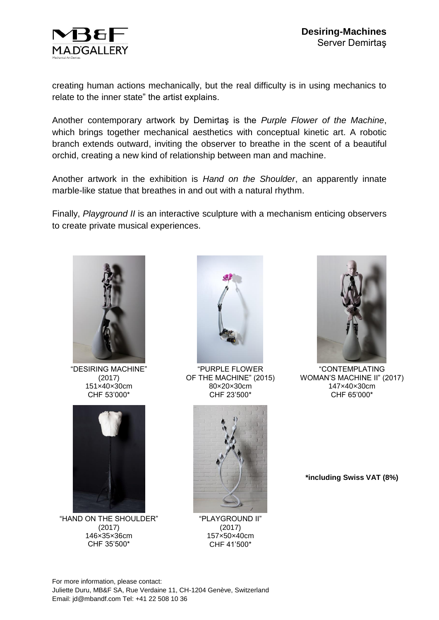

creating human actions mechanically, but the real difficulty is in using mechanics to relate to the inner state" the artist explains.

Another contemporary artwork by Demirtaş is the *Purple Flower of the Machine*, which brings together mechanical aesthetics with conceptual kinetic art. A robotic branch extends outward, inviting the observer to breathe in the scent of a beautiful orchid, creating a new kind of relationship between man and machine.

Another artwork in the exhibition is *Hand on the Shoulder*, an apparently innate marble-like statue that breathes in and out with a natural rhythm.

Finally, *Playground II* is an interactive sculpture with a mechanism enticing observers to create private musical experiences.



"DESIRING MACHINE" (2017) 151×40×30cm CHF 53'000\*



"HAND ON THE SHOULDER" (2017) 146×35×36cm CHF 35'500\*



"PURPLE FLOWER OF THE MACHINE" (2015) 80×20×30cm CHF 23'500\*



"PLAYGROUND II" (2017) 157×50×40cm CHF 41'500\*



"CONTEMPLATING WOMAN'S MACHINE II" (2017) 147×40×30cm CHF 65'000\*

**\*including Swiss VAT (8%)**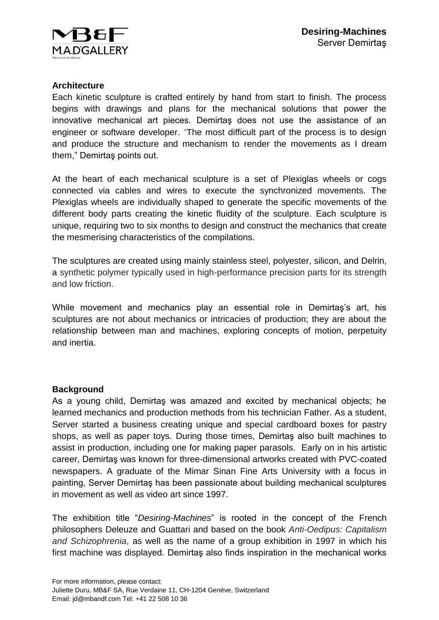

## **Architecture**

Each kinetic sculpture is crafted entirely by hand from start to finish. The process begins with drawings and plans for the mechanical solutions that power the innovative mechanical art pieces. Demirtaş does not use the assistance of an engineer or software developer. "The most difficult part of the process is to design and produce the structure and mechanism to render the movements as I dream them," Demirtaş points out.

At the heart of each mechanical sculpture is a set of Plexiglas wheels or cogs connected via cables and wires to execute the synchronized movements. The Plexiglas wheels are individually shaped to generate the specific movements of the different body parts creating the kinetic fluidity of the sculpture. Each sculpture is unique, requiring two to six months to design and construct the mechanics that create the mesmerising characteristics of the compilations.

The sculptures are created using mainly stainless steel, polyester, silicon, and Delrin, a synthetic polymer typically used in high-performance precision parts for its strength and low friction.

While movement and mechanics play an essential role in Demirtaş's art, his sculptures are not about mechanics or intricacies of production; they are about the relationship between man and machines, exploring concepts of motion, perpetuity and inertia.

## **Background**

As a young child, Demirtaş was amazed and excited by mechanical objects; he learned mechanics and production methods from his technician Father. As a student, Server started a business creating unique and special cardboard boxes for pastry shops, as well as paper toys. During those times, Demirtaş also built machines to assist in production, including one for making paper parasols. Early on in his artistic career, Demirtaş was known for three-dimensional artworks created with PVC-coated newspapers. A graduate of the Mimar Sinan Fine Arts University with a focus in painting, Server Demirtaş has been passionate about building mechanical sculptures in movement as well as video art since 1997.

The exhibition title "*Desiring-Machines*" is rooted in the concept of the French philosophers Deleuze and Guattari and based on the book *Anti-Oedipus: Capitalism and Schizophrenia*, as well as the name of a group exhibition in 1997 in which his first machine was displayed. Demirtaş also finds inspiration in the mechanical works